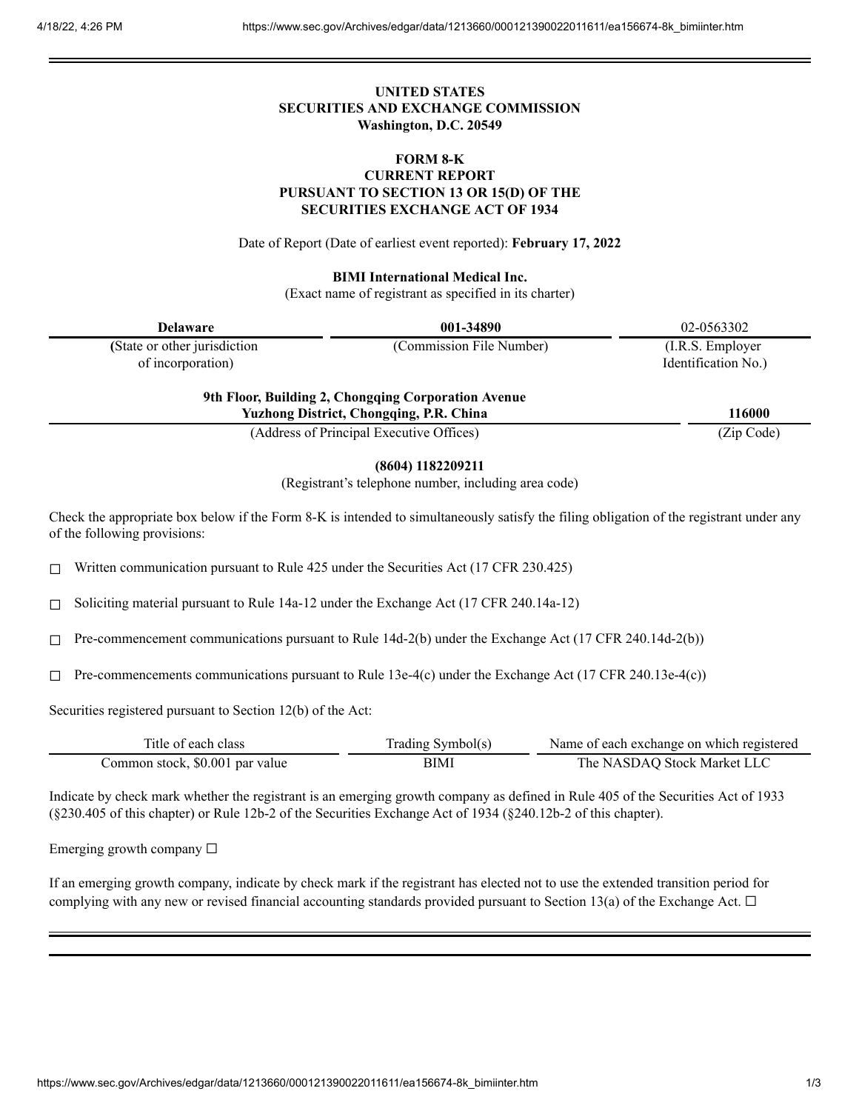# **UNITED STATES SECURITIES AND EXCHANGE COMMISSION Washington, D.C. 20549**

## **FORM 8-K CURRENT REPORT PURSUANT TO SECTION 13 OR 15(D) OF THE SECURITIES EXCHANGE ACT OF 1934**

Date of Report (Date of earliest event reported): **February 17, 2022**

**BIMI International Medical Inc.**

(Exact name of registrant as specified in its charter)

| <b>Delaware</b>                                    | 001-34890                                           | 02-0563302                               |
|----------------------------------------------------|-----------------------------------------------------|------------------------------------------|
| (State or other jurisdiction)<br>of incorporation) | (Commission File Number)                            | (I.R.S. Employer)<br>Identification No.) |
|                                                    | 9th Floor, Building 2, Chongqing Corporation Avenue |                                          |

**Yuzhong District, Chongqing, P.R. China 116000**

(Address of Principal Executive Offices) (Zip Code)

### **(8604) 1182209211**

(Registrant's telephone number, including area code)

Check the appropriate box below if the Form 8-K is intended to simultaneously satisfy the filing obligation of the registrant under any of the following provisions:

 $\Box$  Written communication pursuant to Rule 425 under the Securities Act (17 CFR 230.425)

 $\Box$  Soliciting material pursuant to Rule 14a-12 under the Exchange Act (17 CFR 240.14a-12)

 $\Box$  Pre-commencement communications pursuant to Rule 14d-2(b) under the Exchange Act (17 CFR 240.14d-2(b))

 $\Box$  Pre-commencements communications pursuant to Rule 13e-4(c) under the Exchange Act (17 CFR 240.13e-4(c))

Securities registered pursuant to Section 12(b) of the Act:

| Title of each class             | Trading Symbol(s) | Name of each exchange on which registered |
|---------------------------------|-------------------|-------------------------------------------|
| Common stock, \$0.001 par value | <b>BIMI</b>       | The NASDAQ Stock Market LLC               |

Indicate by check mark whether the registrant is an emerging growth company as defined in Rule 405 of the Securities Act of 1933 (§230.405 of this chapter) or Rule 12b-2 of the Securities Exchange Act of 1934 (§240.12b-2 of this chapter).

Emerging growth company  $\Box$ 

If an emerging growth company, indicate by check mark if the registrant has elected not to use the extended transition period for complying with any new or revised financial accounting standards provided pursuant to Section 13(a) of the Exchange Act.  $\Box$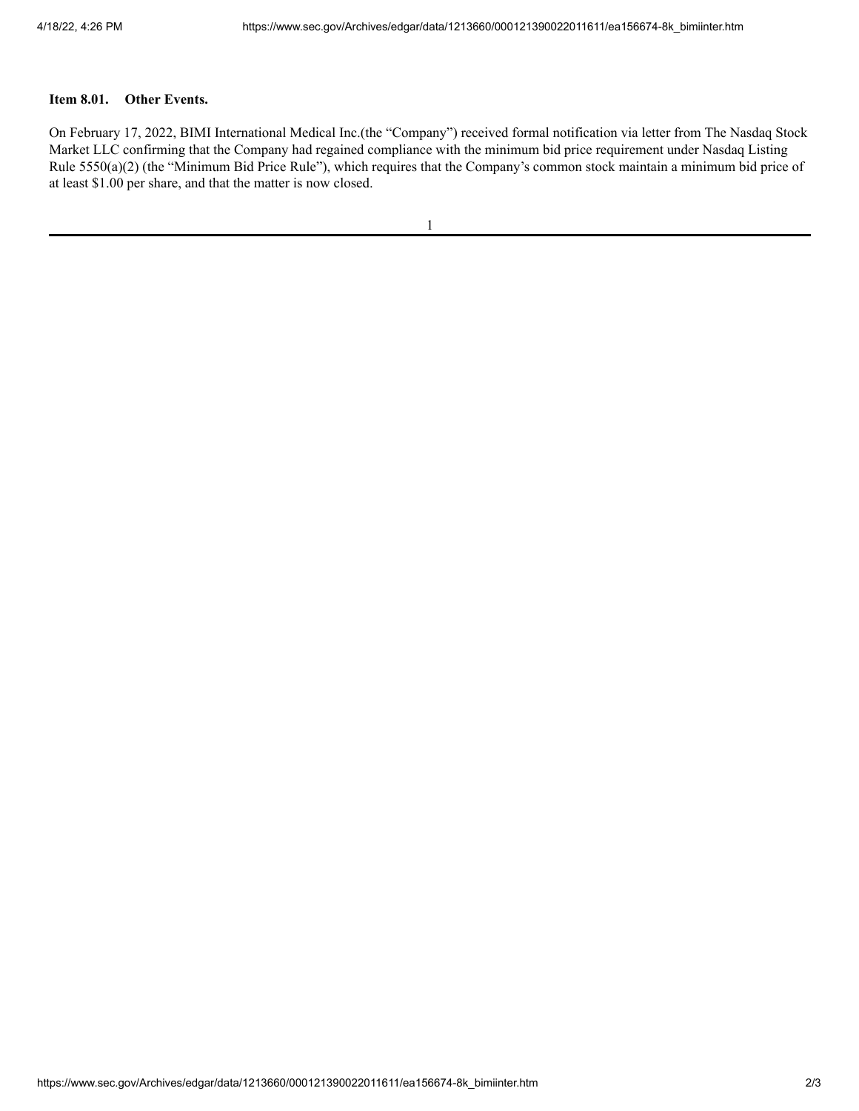#### **Item 8.01. Other Events.**

On February 17, 2022, BIMI International Medical Inc.(the "Company") received formal notification via letter from The Nasdaq Stock Market LLC confirming that the Company had regained compliance with the minimum bid price requirement under Nasdaq Listing Rule 5550(a)(2) (the "Minimum Bid Price Rule"), which requires that the Company's common stock maintain a minimum bid price of at least \$1.00 per share, and that the matter is now closed.